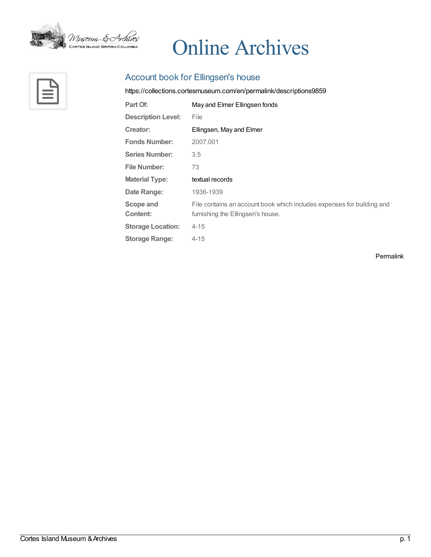

# Online Archives



# Account book for Ellingsen's house

<https://collections.cortesmuseum.com/en/permalink/descriptions9859>

| Part Of:                     | May and Elmer Ellingsen fonds                                                                               |
|------------------------------|-------------------------------------------------------------------------------------------------------------|
| <b>Description Level:</b>    | File                                                                                                        |
| Creator:                     | Ellingsen, May and Elmer                                                                                    |
| <b>Fonds Number:</b>         | 2007.001                                                                                                    |
| <b>Series Number:</b>        | 3.5                                                                                                         |
| <b>File Number:</b>          | 73                                                                                                          |
|                              |                                                                                                             |
| <b>Material Type:</b>        | textual records                                                                                             |
| Date Range:                  | 1936-1939                                                                                                   |
| <b>Scope and</b><br>Content: | File contains an account book which includes expenses for building and<br>furnishing the Ellingsen's house. |
| <b>Storage Location:</b>     | $4 - 15$                                                                                                    |
| <b>Storage Range:</b>        | $4 - 15$                                                                                                    |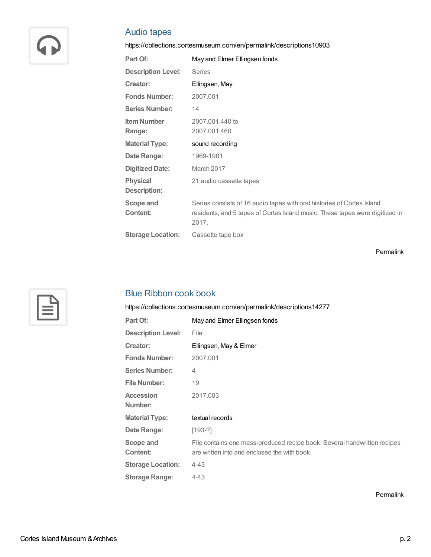

# Audio tapes

<https://collections.cortesmuseum.com/en/permalink/descriptions10903>

| Part Of:                               | May and Elmer Ellingsen fonds                                                                                                                                   |
|----------------------------------------|-----------------------------------------------------------------------------------------------------------------------------------------------------------------|
| <b>Description Level:</b>              | <b>Series</b>                                                                                                                                                   |
| Creator:                               | Ellingsen, May                                                                                                                                                  |
| <b>Fonds Number:</b>                   | 2007.001                                                                                                                                                        |
| <b>Series Number:</b>                  | 14                                                                                                                                                              |
| <b>Item Number</b><br>Range:           | 2007.001.440 to<br>2007.001.460                                                                                                                                 |
| <b>Material Type:</b>                  | sound recording                                                                                                                                                 |
| Date Range:                            | 1969-1981                                                                                                                                                       |
| <b>Digitized Date:</b>                 | March 2017                                                                                                                                                      |
| <b>Physical</b><br><b>Description:</b> | 21 audio cassette tapes                                                                                                                                         |
| Scope and<br><b>Content:</b>           | Series consists of 16 audio tapes with oral histories of Cortes Island<br>residents, and 5 tapes of Cortes Island music. These tapes were digitized in<br>2017. |
| <b>Storage Location:</b>               | Cassette tape box                                                                                                                                               |
|                                        |                                                                                                                                                                 |

[Permalink](https://collections.cortesmuseum.com/en/permalink/descriptions10903)



# Blue Ribbon cook book

<https://collections.cortesmuseum.com/en/permalink/descriptions14277>

| Part Of:                  | May and Elmer Ellingsen fonds                                            |
|---------------------------|--------------------------------------------------------------------------|
| <b>Description Level:</b> | File                                                                     |
| Creator:                  | Ellingsen, May & Elmer                                                   |
| <b>Fonds Number:</b>      | 2007.001                                                                 |
| <b>Series Number:</b>     | 4                                                                        |
| <b>File Number:</b>       | 19                                                                       |
| <b>Accession</b>          | 2017.003                                                                 |
| Number:                   |                                                                          |
| <b>Material Type:</b>     | textual records                                                          |
| Date Range:               | $[193-?]$                                                                |
| Scope and                 | File contains one mass-produced recipe book. Several handwritten recipes |
| Content:                  | are written into and enclosed the with book.                             |
| <b>Storage Location:</b>  | $4 - 43$                                                                 |
| <b>Storage Range:</b>     | $4 - 43$                                                                 |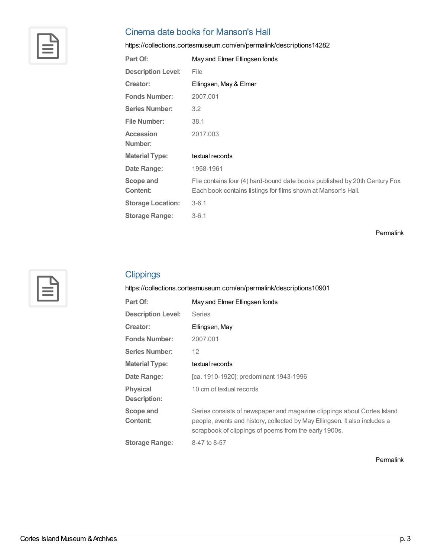

# Cinema date books for Manson's Hall

<https://collections.cortesmuseum.com/en/permalink/descriptions14282>

| Part Of:                  | May and Elmer Ellingsen fonds                                               |
|---------------------------|-----------------------------------------------------------------------------|
| <b>Description Level:</b> | File                                                                        |
| Creator:                  | Ellingsen, May & Elmer                                                      |
| <b>Fonds Number:</b>      | 2007.001                                                                    |
| <b>Series Number:</b>     | $3.2^{\circ}$                                                               |
| <b>File Number:</b>       | 38.1                                                                        |
| <b>Accession</b>          | 2017.003                                                                    |
| Number:                   |                                                                             |
| <b>Material Type:</b>     | textual records                                                             |
| Date Range:               | 1958-1961                                                                   |
| Scope and                 | File contains four (4) hard-bound date books published by 20th Century Fox. |
| Content:                  | Each book contains listings for films shown at Manson's Hall.               |
| <b>Storage Location:</b>  | $3 - 6.1$                                                                   |
| <b>Storage Range:</b>     | $3 - 6.1$                                                                   |

[Permalink](https://collections.cortesmuseum.com/en/permalink/descriptions14282)



## **Clippings**

<https://collections.cortesmuseum.com/en/permalink/descriptions10901>

| Part Of:                               | May and Elmer Ellingsen fonds                                                                                                                                                                                  |
|----------------------------------------|----------------------------------------------------------------------------------------------------------------------------------------------------------------------------------------------------------------|
| <b>Description Level:</b>              | Series                                                                                                                                                                                                         |
| Creator:                               | Ellingsen, May                                                                                                                                                                                                 |
| <b>Fonds Number:</b>                   | 2007.001                                                                                                                                                                                                       |
| <b>Series Number:</b>                  | $12 \overline{ }$                                                                                                                                                                                              |
| <b>Material Type:</b>                  | textual records                                                                                                                                                                                                |
| Date Range:                            | [ca. 1910-1920]; predominant 1943-1996                                                                                                                                                                         |
| <b>Physical</b><br><b>Description:</b> | 10 cm of textual records                                                                                                                                                                                       |
| Scope and<br>Content:                  | Series consists of newspaper and magazine clippings about Cortes Island<br>people, events and history, collected by May Ellingsen. It also includes a<br>scrapbook of clippings of poems from the early 1900s. |
| <b>Storage Range:</b>                  | 8-47 to 8-57                                                                                                                                                                                                   |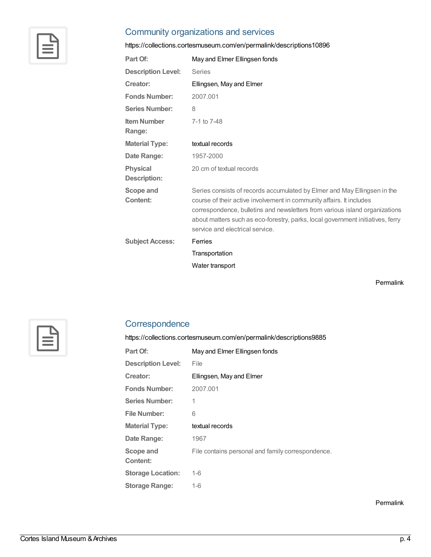

#### Community organizations and services

<https://collections.cortesmuseum.com/en/permalink/descriptions10896>

| Part Of:                               | May and Elmer Ellingsen fonds                                                                                                                                                                                                                                                                                                                        |
|----------------------------------------|------------------------------------------------------------------------------------------------------------------------------------------------------------------------------------------------------------------------------------------------------------------------------------------------------------------------------------------------------|
| <b>Description Level:</b>              | Series                                                                                                                                                                                                                                                                                                                                               |
| Creator:                               | Ellingsen, May and Elmer                                                                                                                                                                                                                                                                                                                             |
| <b>Fonds Number:</b>                   | 2007.001                                                                                                                                                                                                                                                                                                                                             |
| <b>Series Number:</b>                  | 8                                                                                                                                                                                                                                                                                                                                                    |
| <b>Item Number</b><br>Range:           | 7-1 to 7-48                                                                                                                                                                                                                                                                                                                                          |
| <b>Material Type:</b>                  | textual records                                                                                                                                                                                                                                                                                                                                      |
| Date Range:                            | 1957-2000                                                                                                                                                                                                                                                                                                                                            |
| <b>Physical</b><br><b>Description:</b> | 20 cm of textual records                                                                                                                                                                                                                                                                                                                             |
| Scope and<br>Content:                  | Series consists of records accumulated by Elmer and May Ellingsen in the<br>course of their active involvement in community affairs. It includes<br>correspondence, bulletins and newsletters from various island organizations<br>about matters such as eco-forestry, parks, local government initiatives, ferry<br>service and electrical service. |
| <b>Subject Access:</b>                 | Ferries                                                                                                                                                                                                                                                                                                                                              |
|                                        | Transportation                                                                                                                                                                                                                                                                                                                                       |
|                                        | Water transport                                                                                                                                                                                                                                                                                                                                      |

[Permalink](https://collections.cortesmuseum.com/en/permalink/descriptions10896)



# **Correspondence**

<https://collections.cortesmuseum.com/en/permalink/descriptions9885>

| Part Of:                  | May and Elmer Ellingsen fonds                     |
|---------------------------|---------------------------------------------------|
| <b>Description Level:</b> | File                                              |
| Creator:                  | Ellingsen, May and Elmer                          |
| <b>Fonds Number:</b>      | 2007.001                                          |
| <b>Series Number:</b>     | 1                                                 |
| File Number:              | 6                                                 |
|                           |                                                   |
| <b>Material Type:</b>     | textual records                                   |
| Date Range:               | 1967                                              |
| Scope and                 | File contains personal and family correspondence. |
| Content:                  |                                                   |
| <b>Storage Location:</b>  | $1 - 6$                                           |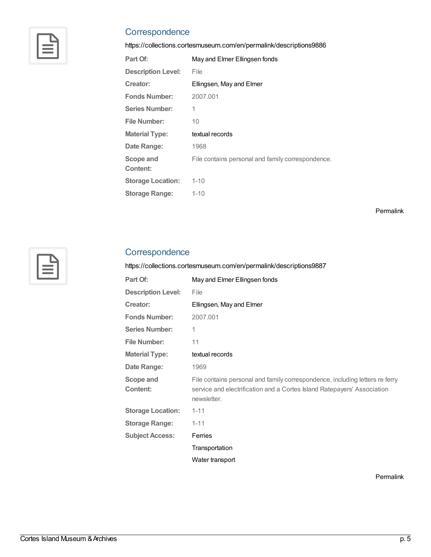

## **Correspondence**

<https://collections.cortesmuseum.com/en/permalink/descriptions9886>

| Part Of:                  | May and Elmer Ellingsen fonds                     |
|---------------------------|---------------------------------------------------|
| <b>Description Level:</b> | File                                              |
| Creator:                  | Ellingsen, May and Elmer                          |
| <b>Fonds Number:</b>      | 2007.001                                          |
| <b>Series Number:</b>     | 1                                                 |
| File Number:              | 10                                                |
| <b>Material Type:</b>     | textual records                                   |
| Date Range:               | 1968                                              |
| Scope and<br>Content:     | File contains personal and family correspondence. |
| <b>Storage Location:</b>  | $1 - 10$                                          |
| <b>Storage Range:</b>     | $1 - 10$                                          |

[Permalink](https://collections.cortesmuseum.com/en/permalink/descriptions9886)



#### **Correspondence**

<https://collections.cortesmuseum.com/en/permalink/descriptions9887>

| Part Of:                  | May and Elmer Ellingsen fonds                                                                                                                                          |
|---------------------------|------------------------------------------------------------------------------------------------------------------------------------------------------------------------|
| <b>Description Level:</b> | File                                                                                                                                                                   |
| Creator:                  | Ellingsen, May and Elmer                                                                                                                                               |
| <b>Fonds Number:</b>      | 2007.001                                                                                                                                                               |
| <b>Series Number:</b>     | 1                                                                                                                                                                      |
| <b>File Number:</b>       | 11                                                                                                                                                                     |
| <b>Material Type:</b>     | textual records                                                                                                                                                        |
| Date Range:               | 1969                                                                                                                                                                   |
| Scope and<br>Content:     | File contains personal and family correspondence, including letters re ferry<br>service and electrification and a Cortes Island Ratepayers' Association<br>newsletter. |
| <b>Storage Location:</b>  | $1 - 11$                                                                                                                                                               |
| <b>Storage Range:</b>     | $1 - 11$                                                                                                                                                               |
| <b>Subject Access:</b>    | Ferries                                                                                                                                                                |
|                           | Transportation                                                                                                                                                         |
|                           | Water transport                                                                                                                                                        |
|                           |                                                                                                                                                                        |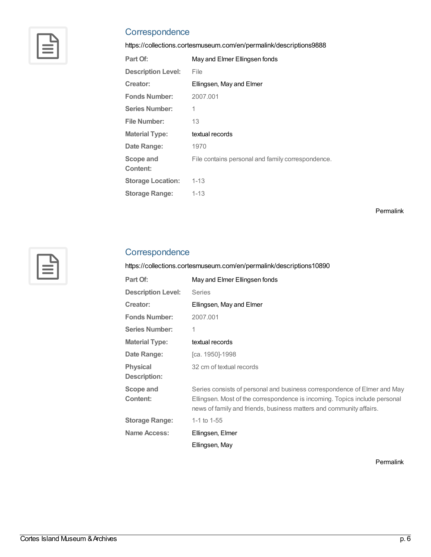

## **Correspondence**

<https://collections.cortesmuseum.com/en/permalink/descriptions9888>

| Part Of:                  | May and Elmer Ellingsen fonds                     |
|---------------------------|---------------------------------------------------|
| <b>Description Level:</b> | File                                              |
| Creator:                  | Ellingsen, May and Elmer                          |
| <b>Fonds Number:</b>      | 2007.001                                          |
| <b>Series Number:</b>     | 1                                                 |
| File Number:              | 13                                                |
| <b>Material Type:</b>     | textual records                                   |
| Date Range:               | 1970                                              |
| Scope and<br>Content:     | File contains personal and family correspondence. |
| <b>Storage Location:</b>  | $1 - 13$                                          |
| <b>Storage Range:</b>     | $1 - 13$                                          |

[Permalink](https://collections.cortesmuseum.com/en/permalink/descriptions9888)



#### **Correspondence**

<https://collections.cortesmuseum.com/en/permalink/descriptions10890>

| Part Of:                        | May and Elmer Ellingsen fonds                                                                                                                                                                                                 |
|---------------------------------|-------------------------------------------------------------------------------------------------------------------------------------------------------------------------------------------------------------------------------|
| <b>Description Level:</b>       | <b>Series</b>                                                                                                                                                                                                                 |
| Creator:                        | Ellingsen, May and Elmer                                                                                                                                                                                                      |
| <b>Fonds Number:</b>            | 2007.001                                                                                                                                                                                                                      |
| <b>Series Number:</b>           | 1                                                                                                                                                                                                                             |
| <b>Material Type:</b>           | textual records                                                                                                                                                                                                               |
| Date Range:                     | [ca. 1950]-1998                                                                                                                                                                                                               |
| <b>Physical</b><br>Description: | 32 cm of textual records                                                                                                                                                                                                      |
| Scope and<br>Content:           | Series consists of personal and business correspondence of Elmer and May<br>Ellingsen. Most of the correspondence is incoming. Topics include personal<br>news of family and friends, business matters and community affairs. |
| <b>Storage Range:</b>           | 1-1 to $1-55$                                                                                                                                                                                                                 |
| Name Access:                    | Ellingsen, Elmer                                                                                                                                                                                                              |
|                                 | Ellingsen, May                                                                                                                                                                                                                |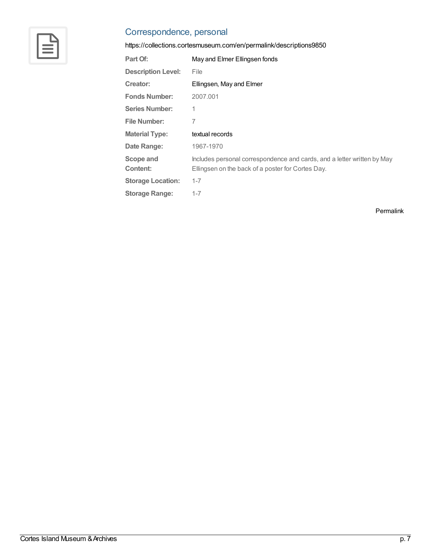

# Correspondence, personal

<https://collections.cortesmuseum.com/en/permalink/descriptions9850>

| Part Of:                  | May and Elmer Ellingsen fonds                                                                                                |
|---------------------------|------------------------------------------------------------------------------------------------------------------------------|
| <b>Description Level:</b> | File                                                                                                                         |
| Creator:                  | Ellingsen, May and Elmer                                                                                                     |
| <b>Fonds Number:</b>      | 2007.001                                                                                                                     |
| <b>Series Number:</b>     | 1                                                                                                                            |
| <b>File Number:</b>       | 7                                                                                                                            |
| <b>Material Type:</b>     | textual records                                                                                                              |
| Date Range:               | 1967-1970                                                                                                                    |
| Scope and<br>Content:     | Includes personal correspondence and cards, and a letter written by May<br>Ellingsen on the back of a poster for Cortes Day. |
| <b>Storage Location:</b>  | $1 - 7$                                                                                                                      |
| <b>Storage Range:</b>     | $1 - 7$                                                                                                                      |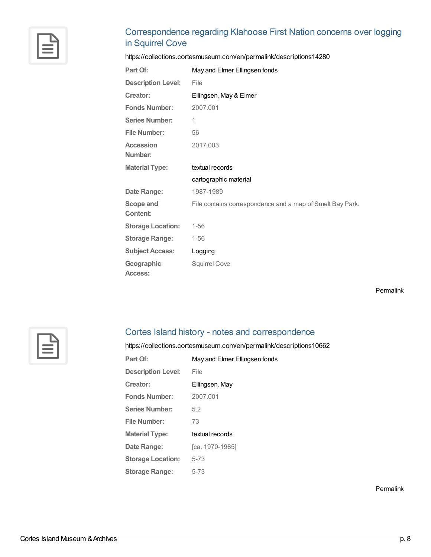# Correspondence regarding Klahoose First Nation concerns over logging in Squirrel Cove

<https://collections.cortesmuseum.com/en/permalink/descriptions14280>

| Part Of:                            | May and Elmer Ellingsen fonds                             |
|-------------------------------------|-----------------------------------------------------------|
| <b>Description Level:</b>           | File                                                      |
| Creator:                            | Ellingsen, May & Elmer                                    |
| <b>Fonds Number:</b>                | 2007.001                                                  |
| <b>Series Number:</b>               | 1                                                         |
| <b>File Number:</b>                 | 56                                                        |
| <b>Accession</b><br>Number:         | 2017.003                                                  |
| <b>Material Type:</b>               | textual records                                           |
|                                     | cartographic material                                     |
| Date Range:                         | 1987-1989                                                 |
| <b>Scope and</b><br><b>Content:</b> | File contains correspondence and a map of Smelt Bay Park. |
| <b>Storage Location:</b>            | $1 - 56$                                                  |
| <b>Storage Range:</b>               | $1 - 56$                                                  |
| <b>Subject Access:</b>              | Logging                                                   |
| Geographic<br><b>Access:</b>        | <b>Squirrel Cove</b>                                      |

[Permalink](https://collections.cortesmuseum.com/en/permalink/descriptions14280)



## Cortes Island history - notes and correspondence

<https://collections.cortesmuseum.com/en/permalink/descriptions10662>

| May and Elmer Ellingsen fonds |
|-------------------------------|
| File                          |
| Ellingsen, May                |
| 2007.001                      |
| 5.2                           |
| 73                            |
| textual records               |
| [ca. 1970-1985]               |
| $5 - 73$                      |
| 5-73                          |
|                               |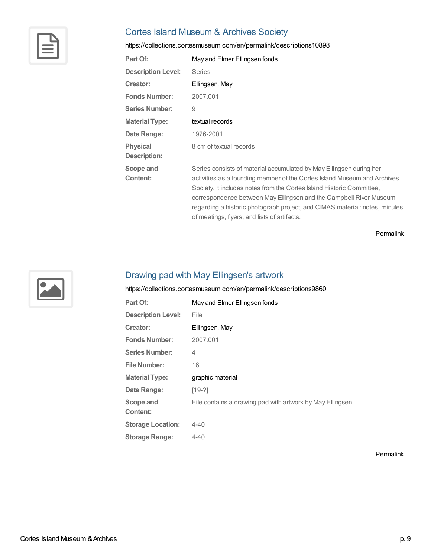

# Cortes Island Museum & Archives Society

<https://collections.cortesmuseum.com/en/permalink/descriptions10898>

| Part Of:                               | May and Elmer Ellingsen fonds                                                                                                                                                                                                                                                                                                                                                 |
|----------------------------------------|-------------------------------------------------------------------------------------------------------------------------------------------------------------------------------------------------------------------------------------------------------------------------------------------------------------------------------------------------------------------------------|
| <b>Description Level:</b>              | <b>Series</b>                                                                                                                                                                                                                                                                                                                                                                 |
| Creator:                               | Ellingsen, May                                                                                                                                                                                                                                                                                                                                                                |
| <b>Fonds Number:</b>                   | 2007.001                                                                                                                                                                                                                                                                                                                                                                      |
| <b>Series Number:</b>                  | 9                                                                                                                                                                                                                                                                                                                                                                             |
| <b>Material Type:</b>                  | textual records                                                                                                                                                                                                                                                                                                                                                               |
| Date Range:                            | 1976-2001                                                                                                                                                                                                                                                                                                                                                                     |
| <b>Physical</b><br><b>Description:</b> | 8 cm of textual records                                                                                                                                                                                                                                                                                                                                                       |
| Scope and<br><b>Content:</b>           | Series consists of material accumulated by May Ellingsen during her<br>activities as a founding member of the Cortes Island Museum and Archives<br>Society. It includes notes from the Cortes Island Historic Committee,<br>correspondence between May Ellingsen and the Campbell River Museum<br>regarding a historic photograph project, and CIMAS material: notes, minutes |

[Permalink](https://collections.cortesmuseum.com/en/permalink/descriptions10898)



#### Drawing pad with May Ellingsen's artwork

<https://collections.cortesmuseum.com/en/permalink/descriptions9860>

| Part Of:                  | May and Elmer Ellingsen fonds                              |
|---------------------------|------------------------------------------------------------|
| <b>Description Level:</b> | File                                                       |
| Creator:                  | Ellingsen, May                                             |
| <b>Fonds Number:</b>      | 2007.001                                                   |
| <b>Series Number:</b>     | 4                                                          |
| <b>File Number:</b>       | 16                                                         |
| <b>Material Type:</b>     | graphic material                                           |
| Date Range:               | $[19-2]$                                                   |
| Scope and<br>Content:     | File contains a drawing pad with artwork by May Ellingsen. |
|                           |                                                            |
| <b>Storage Location:</b>  | $4 - 40$                                                   |

of meetings, flyers, and lists of artifacts.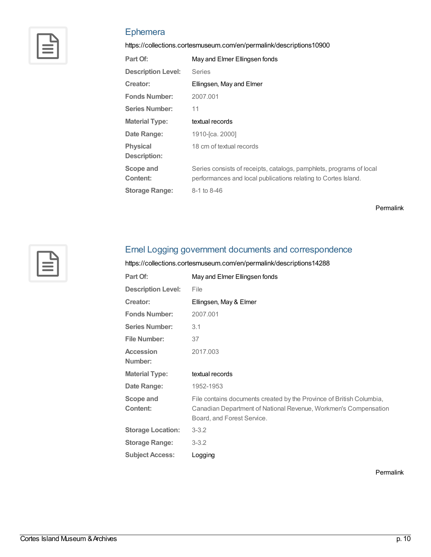

# Ephemera

<https://collections.cortesmuseum.com/en/permalink/descriptions10900>

| Part Of:                               | May and Elmer Ellingsen fonds                                                                                                         |
|----------------------------------------|---------------------------------------------------------------------------------------------------------------------------------------|
| <b>Description Level:</b>              | Series                                                                                                                                |
| Creator:                               | Ellingsen, May and Elmer                                                                                                              |
| <b>Fonds Number:</b>                   | 2007.001                                                                                                                              |
| <b>Series Number:</b>                  | 11                                                                                                                                    |
| <b>Material Type:</b>                  | textual records                                                                                                                       |
| Date Range:                            | 1910-[ca. 2000]                                                                                                                       |
| <b>Physical</b><br><b>Description:</b> | 18 cm of textual records                                                                                                              |
| Scope and<br>Content:                  | Series consists of receipts, catalogs, pamphlets, programs of local<br>performances and local publications relating to Cortes Island. |
| <b>Storage Range:</b>                  | 8-1 to 8-46                                                                                                                           |

[Permalink](https://collections.cortesmuseum.com/en/permalink/descriptions10900)



# Ernel Logging government documents and correspondence

<https://collections.cortesmuseum.com/en/permalink/descriptions14288>

| Part Of:                    | May and Elmer Ellingsen fonds                                                                                                                                         |
|-----------------------------|-----------------------------------------------------------------------------------------------------------------------------------------------------------------------|
| <b>Description Level:</b>   | File                                                                                                                                                                  |
| Creator:                    | Ellingsen, May & Elmer                                                                                                                                                |
| <b>Fonds Number:</b>        | 2007.001                                                                                                                                                              |
| <b>Series Number:</b>       | 3.1                                                                                                                                                                   |
| <b>File Number:</b>         | 37                                                                                                                                                                    |
| <b>Accession</b><br>Number: | 2017.003                                                                                                                                                              |
| <b>Material Type:</b>       | textual records                                                                                                                                                       |
| Date Range:                 | 1952-1953                                                                                                                                                             |
| Scope and<br>Content:       | File contains documents created by the Province of British Columbia,<br>Canadian Department of National Revenue, Workmen's Compensation<br>Board, and Forest Service. |
| <b>Storage Location:</b>    | $3 - 3.2$                                                                                                                                                             |
| <b>Storage Range:</b>       | $3 - 3.2$                                                                                                                                                             |
| <b>Subject Access:</b>      | Logging                                                                                                                                                               |